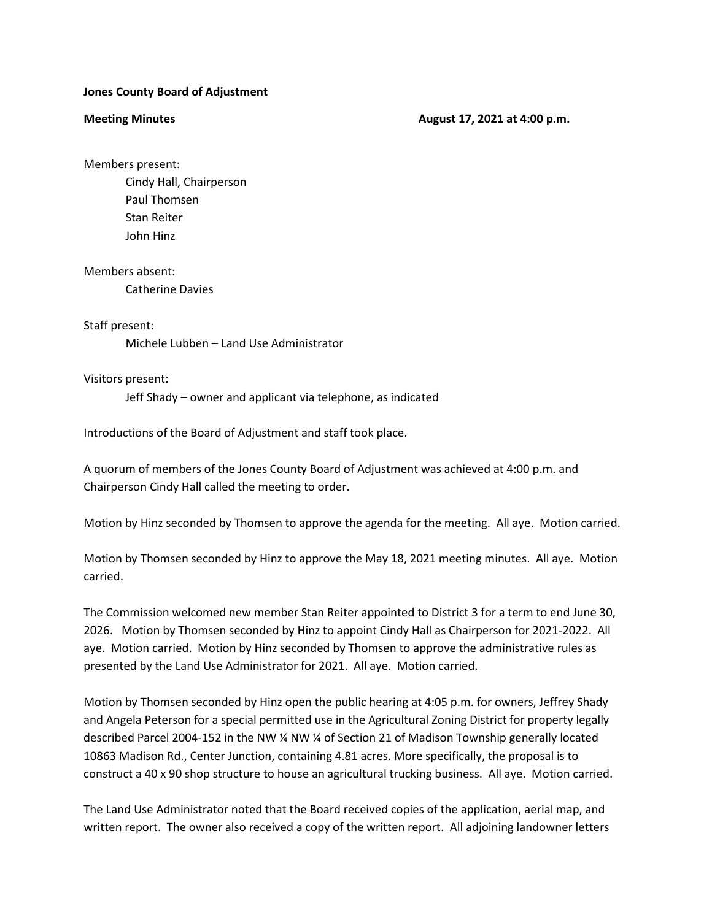## **Jones County Board of Adjustment**

### **Meeting Minutes Construction August 17, 2021 at 4:00 p.m.**

Members present:

Cindy Hall, Chairperson Paul Thomsen Stan Reiter John Hinz

Members absent:

Catherine Davies

# Staff present:

Michele Lubben – Land Use Administrator

# Visitors present:

Jeff Shady – owner and applicant via telephone, as indicated

Introductions of the Board of Adjustment and staff took place.

A quorum of members of the Jones County Board of Adjustment was achieved at 4:00 p.m. and Chairperson Cindy Hall called the meeting to order.

Motion by Hinz seconded by Thomsen to approve the agenda for the meeting. All aye. Motion carried.

Motion by Thomsen seconded by Hinz to approve the May 18, 2021 meeting minutes. All aye. Motion carried.

The Commission welcomed new member Stan Reiter appointed to District 3 for a term to end June 30, 2026. Motion by Thomsen seconded by Hinz to appoint Cindy Hall as Chairperson for 2021-2022. All aye. Motion carried. Motion by Hinz seconded by Thomsen to approve the administrative rules as presented by the Land Use Administrator for 2021. All aye. Motion carried.

Motion by Thomsen seconded by Hinz open the public hearing at 4:05 p.m. for owners, Jeffrey Shady and Angela Peterson for a special permitted use in the Agricultural Zoning District for property legally described Parcel 2004-152 in the NW ¼ NW ¼ of Section 21 of Madison Township generally located 10863 Madison Rd., Center Junction, containing 4.81 acres. More specifically, the proposal is to construct a 40 x 90 shop structure to house an agricultural trucking business. All aye. Motion carried.

The Land Use Administrator noted that the Board received copies of the application, aerial map, and written report. The owner also received a copy of the written report. All adjoining landowner letters